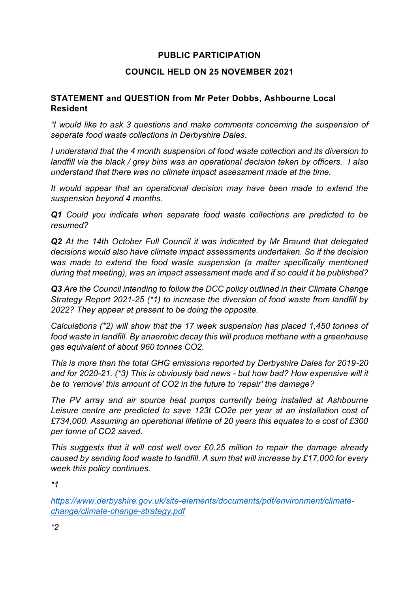# **PUBLIC PARTICIPATION**

### **COUNCIL HELD ON 25 NOVEMBER 2021**

### **STATEMENT and QUESTION from Mr Peter Dobbs, Ashbourne Local Resident**

*"I would like to ask 3 questions and make comments concerning the suspension of separate food waste collections in Derbyshire Dales.*

*I understand that the 4 month suspension of food waste collection and its diversion to landfill via the black / grey bins was an operational decision taken by officers. I also understand that there was no climate impact assessment made at the time.*

*It would appear that an operational decision may have been made to extend the suspension beyond 4 months.*

*Q1 Could you indicate when separate food waste collections are predicted to be resumed?*

*Q2 At the 14th October Full Council it was indicated by Mr Braund that delegated decisions would also have climate impact assessments undertaken. So if the decision was made to extend the food waste suspension (a matter specifically mentioned during that meeting), was an impact assessment made and if so could it be published?*

*Q3 Are the Council intending to follow the DCC policy outlined in their Climate Change Strategy Report 2021-25 (\*1) to increase the diversion of food waste from landfill by 2022? They appear at present to be doing the opposite.*

*Calculations (\*2) will show that the 17 week suspension has placed 1,450 tonnes of food waste in landfill. By anaerobic decay this will produce methane with a greenhouse gas equivalent of about 960 tonnes CO2.*

*This is more than the total GHG emissions reported by Derbyshire Dales for 2019-20 and for 2020-21. (\*3) This is obviously bad news - but how bad? How expensive will it be to 'remove' this amount of CO2 in the future to 'repair' the damage?*

*The PV array and air source heat pumps currently being installed at Ashbourne Leisure centre are predicted to save 123t CO2e per year at an installation cost of £734,000. Assuming an operational lifetime of 20 years this equates to a cost of £300 per tonne of CO2 saved.*

*This suggests that it will cost well over £0.25 million to repair the damage already caused by sending food waste to landfill. A sum that will increase by £17,000 for every week this policy continues.*

*\*1*

*[https://www.derbyshire.gov.uk/site-elements/documents/pdf/environment/climate](https://www.derbyshire.gov.uk/site-elements/documents/pdf/environment/climate-change/climate-change-strategy.pdf)[change/climate-change-strategy.pdf](https://www.derbyshire.gov.uk/site-elements/documents/pdf/environment/climate-change/climate-change-strategy.pdf)*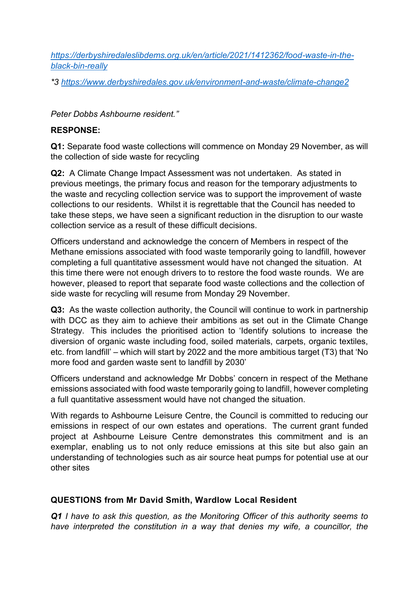*[https://derbyshiredaleslibdems.org.uk/en/article/2021/1412362/food-waste-in-the](https://derbyshiredaleslibdems.org.uk/en/article/2021/1412362/food-waste-in-the-black-bin-really)[black-bin-really](https://derbyshiredaleslibdems.org.uk/en/article/2021/1412362/food-waste-in-the-black-bin-really)*

*\*3<https://www.derbyshiredales.gov.uk/environment-and-waste/climate-change2>*

*Peter Dobbs Ashbourne resident."*

## **RESPONSE:**

**Q1:** Separate food waste collections will commence on Monday 29 November, as will the collection of side waste for recycling

**Q2:** A Climate Change Impact Assessment was not undertaken. As stated in previous meetings, the primary focus and reason for the temporary adjustments to the waste and recycling collection service was to support the improvement of waste collections to our residents. Whilst it is regrettable that the Council has needed to take these steps, we have seen a significant reduction in the disruption to our waste collection service as a result of these difficult decisions.

Officers understand and acknowledge the concern of Members in respect of the Methane emissions associated with food waste temporarily going to landfill, however completing a full quantitative assessment would have not changed the situation. At this time there were not enough drivers to to restore the food waste rounds. We are however, pleased to report that separate food waste collections and the collection of side waste for recycling will resume from Monday 29 November.

**Q3:** As the waste collection authority, the Council will continue to work in partnership with DCC as they aim to achieve their ambitions as set out in the Climate Change Strategy. This includes the prioritised action to 'Identify solutions to increase the diversion of organic waste including food, soiled materials, carpets, organic textiles, etc. from landfill' – which will start by 2022 and the more ambitious target (T3) that 'No more food and garden waste sent to landfill by 2030'

Officers understand and acknowledge Mr Dobbs' concern in respect of the Methane emissions associated with food waste temporarily going to landfill, however completing a full quantitative assessment would have not changed the situation.

With regards to Ashbourne Leisure Centre, the Council is committed to reducing our emissions in respect of our own estates and operations. The current grant funded project at Ashbourne Leisure Centre demonstrates this commitment and is an exemplar, enabling us to not only reduce emissions at this site but also gain an understanding of technologies such as air source heat pumps for potential use at our other sites

# **QUESTIONS from Mr David Smith, Wardlow Local Resident**

*Q1 I have to ask this question, as the Monitoring Officer of this authority seems to have interpreted the constitution in a way that denies my wife, a councillor, the*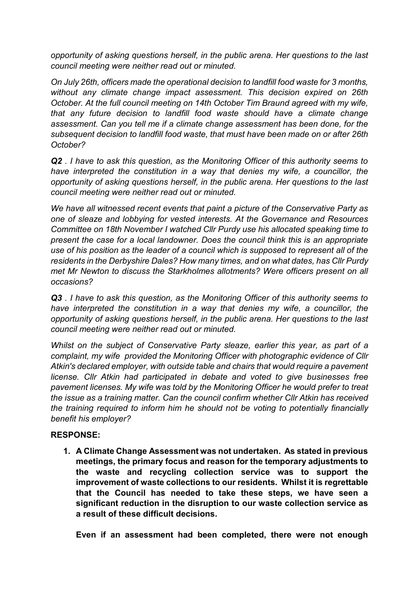*opportunity of asking questions herself, in the public arena. Her questions to the last council meeting were neither read out or minuted.* 

*On July 26th, officers made the operational decision to landfill food waste for 3 months, without any climate change impact assessment. This decision expired on 26th October. At the full council meeting on 14th October Tim Braund agreed with my wife, that any future decision to landfill food waste should have a climate change assessment. Can you tell me if a climate change assessment has been done, for the subsequent decision to landfill food waste, that must have been made on or after 26th October?*

*Q2 . I have to ask this question, as the Monitoring Officer of this authority seems to have interpreted the constitution in a way that denies my wife, a councillor, the opportunity of asking questions herself, in the public arena. Her questions to the last council meeting were neither read out or minuted.* 

*We have all witnessed recent events that paint a picture of the Conservative Party as one of sleaze and lobbying for vested interests. At the Governance and Resources Committee on 18th November I watched Cllr Purdy use his allocated speaking time to present the case for a local landowner. Does the council think this is an appropriate use of his position as the leader of a council which is supposed to represent all of the residents in the Derbyshire Dales? How many times, and on what dates, has Cllr Purdy met Mr Newton to discuss the Starkholmes allotments? Were officers present on all occasions?*

*Q3 . I have to ask this question, as the Monitoring Officer of this authority seems to have interpreted the constitution in a way that denies my wife, a councillor, the opportunity of asking questions herself, in the public arena. Her questions to the last council meeting were neither read out or minuted.* 

*Whilst on the subject of Conservative Party sleaze, earlier this year, as part of a complaint, my wife provided the Monitoring Officer with photographic evidence of Cllr Atkin's declared employer, with outside table and chairs that would require a pavement license. Cllr Atkin had participated in debate and voted to give businesses free pavement licenses. My wife was told by the Monitoring Officer he would prefer to treat the issue as a training matter. Can the council confirm whether Cllr Atkin has received the training required to inform him he should not be voting to potentially financially benefit his employer?* 

# **RESPONSE:**

**1. A Climate Change Assessment was not undertaken. As stated in previous meetings, the primary focus and reason for the temporary adjustments to the waste and recycling collection service was to support the improvement of waste collections to our residents. Whilst it is regrettable that the Council has needed to take these steps, we have seen a significant reduction in the disruption to our waste collection service as a result of these difficult decisions.**

**Even if an assessment had been completed, there were not enough**